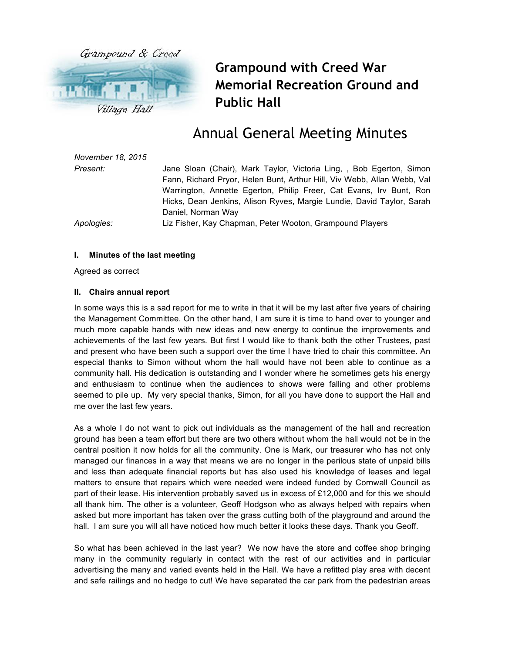

**Grampound with Creed War Memorial Recreation Ground and Public Hall**

# Annual General Meeting Minutes

| November 18, 2015 |                                                                                                                                                                                                                        |
|-------------------|------------------------------------------------------------------------------------------------------------------------------------------------------------------------------------------------------------------------|
| Present:          | Jane Sloan (Chair), Mark Taylor, Victoria Ling, , Bob Egerton, Simon<br>Fann, Richard Pryor, Helen Bunt, Arthur Hill, Viv Webb, Allan Webb, Val<br>Warrington, Annette Egerton, Philip Freer, Cat Evans, Irv Bunt, Ron |
|                   | Hicks, Dean Jenkins, Alison Ryves, Margie Lundie, David Taylor, Sarah                                                                                                                                                  |
|                   | Daniel, Norman Way                                                                                                                                                                                                     |
| Apologies:        | Liz Fisher, Kay Chapman, Peter Wooton, Grampound Players                                                                                                                                                               |

#### **I. Minutes of the last meeting**

Agreed as correct

#### **II. Chairs annual report**

In some ways this is a sad report for me to write in that it will be my last after five years of chairing the Management Committee. On the other hand, I am sure it is time to hand over to younger and much more capable hands with new ideas and new energy to continue the improvements and achievements of the last few years. But first I would like to thank both the other Trustees, past and present who have been such a support over the time I have tried to chair this committee. An especial thanks to Simon without whom the hall would have not been able to continue as a community hall. His dedication is outstanding and I wonder where he sometimes gets his energy and enthusiasm to continue when the audiences to shows were falling and other problems seemed to pile up. My very special thanks, Simon, for all you have done to support the Hall and me over the last few years.

As a whole I do not want to pick out individuals as the management of the hall and recreation ground has been a team effort but there are two others without whom the hall would not be in the central position it now holds for all the community. One is Mark, our treasurer who has not only managed our finances in a way that means we are no longer in the perilous state of unpaid bills and less than adequate financial reports but has also used his knowledge of leases and legal matters to ensure that repairs which were needed were indeed funded by Cornwall Council as part of their lease. His intervention probably saved us in excess of £12,000 and for this we should all thank him. The other is a volunteer, Geoff Hodgson who as always helped with repairs when asked but more important has taken over the grass cutting both of the playground and around the hall. I am sure you will all have noticed how much better it looks these days. Thank you Geoff.

So what has been achieved in the last year? We now have the store and coffee shop bringing many in the community regularly in contact with the rest of our activities and in particular advertising the many and varied events held in the Hall. We have a refitted play area with decent and safe railings and no hedge to cut! We have separated the car park from the pedestrian areas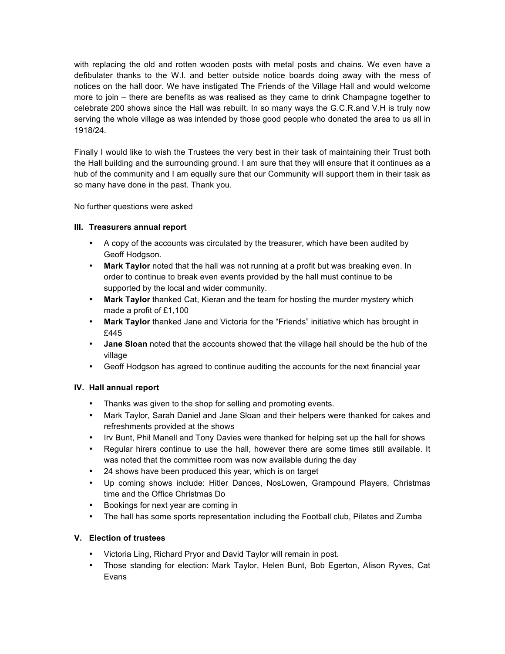with replacing the old and rotten wooden posts with metal posts and chains. We even have a defibulater thanks to the W.I. and better outside notice boards doing away with the mess of notices on the hall door. We have instigated The Friends of the Village Hall and would welcome more to join – there are benefits as was realised as they came to drink Champagne together to celebrate 200 shows since the Hall was rebuilt. In so many ways the G.C.R.and V.H is truly now serving the whole village as was intended by those good people who donated the area to us all in 1918/24.

Finally I would like to wish the Trustees the very best in their task of maintaining their Trust both the Hall building and the surrounding ground. I am sure that they will ensure that it continues as a hub of the community and I am equally sure that our Community will support them in their task as so many have done in the past. Thank you.

No further questions were asked

## **III. Treasurers annual report**

- A copy of the accounts was circulated by the treasurer, which have been audited by Geoff Hodgson.
- **Mark Taylor** noted that the hall was not running at a profit but was breaking even. In order to continue to break even events provided by the hall must continue to be supported by the local and wider community.
- **Mark Taylor** thanked Cat, Kieran and the team for hosting the murder mystery which made a profit of £1,100
- **Mark Taylor** thanked Jane and Victoria for the "Friends" initiative which has brought in £445
- **Jane Sloan** noted that the accounts showed that the village hall should be the hub of the village
- Geoff Hodgson has agreed to continue auditing the accounts for the next financial year

### **IV. Hall annual report**

- Thanks was given to the shop for selling and promoting events.
- Mark Taylor, Sarah Daniel and Jane Sloan and their helpers were thanked for cakes and refreshments provided at the shows
- Irv Bunt, Phil Manell and Tony Davies were thanked for helping set up the hall for shows
- Regular hirers continue to use the hall, however there are some times still available. It was noted that the committee room was now available during the day
- 24 shows have been produced this year, which is on target
- Up coming shows include: Hitler Dances, NosLowen, Grampound Players, Christmas time and the Office Christmas Do
- Bookings for next year are coming in
- The hall has some sports representation including the Football club, Pilates and Zumba

## **V. Election of trustees**

- Victoria Ling, Richard Pryor and David Taylor will remain in post.
- Those standing for election: Mark Taylor, Helen Bunt, Bob Egerton, Alison Ryves, Cat Evans